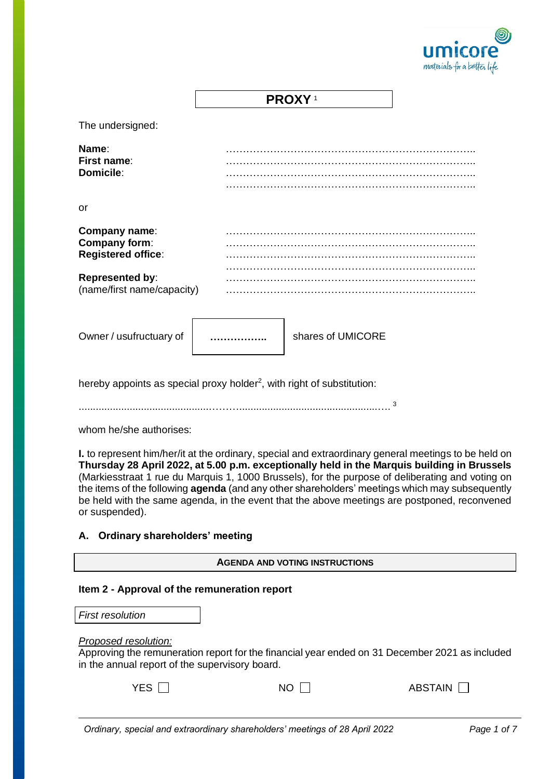

**PROXY** <sup>1</sup>

The undersigned:

| Name:<br>First name:<br>Domicile:                           |                   |  |  |
|-------------------------------------------------------------|-------------------|--|--|
| or                                                          |                   |  |  |
| Company name:<br>Company form:<br><b>Registered office:</b> |                   |  |  |
| <b>Represented by:</b><br>(name/first name/capacity)        |                   |  |  |
| Owner / usufructuary of                                     | shares of UMICORE |  |  |

hereby appoints as special proxy holder<sup>2</sup>, with right of substitution:

..............................................……….................................................…. 3

whom he/she authorises:

**I.** to represent him/her/it at the ordinary, special and extraordinary general meetings to be held on **Thursday 28 April 2022, at 5.00 p.m. exceptionally held in the Marquis building in Brussels** (Markiesstraat 1 rue du Marquis 1, 1000 Brussels), for the purpose of deliberating and voting on the items of the following **agenda** (and any other shareholders' meetings which may subsequently be held with the same agenda, in the event that the above meetings are postponed, reconvened or suspended).

# **A. Ordinary shareholders' meeting**

**AGENDA AND VOTING INSTRUCTIONS**

#### **Item 2 - Approval of the remuneration report**

*First resolution*

*Proposed resolution:*

Approving the remuneration report for the financial year ended on 31 December 2021 as included in the annual report of the supervisory board.

| YES $\Box$ | $NO \Gamma$ | ABSTAIN $\Box$ |
|------------|-------------|----------------|
|            |             |                |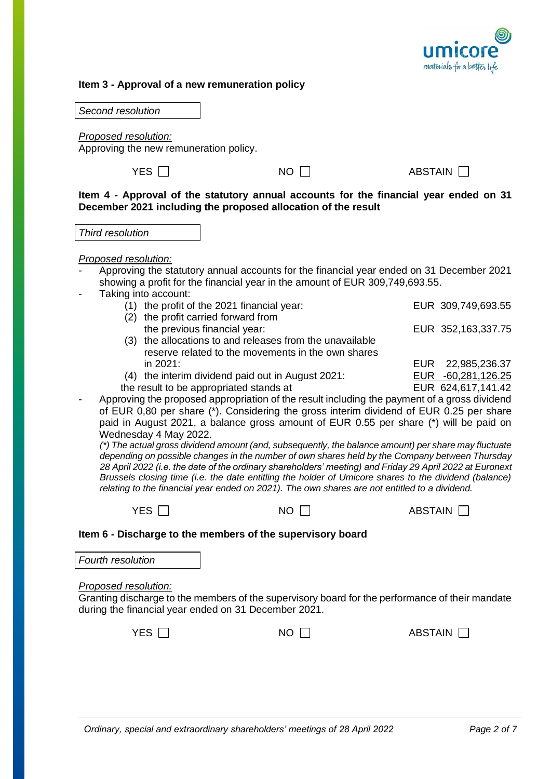

### **Item 3 - Approval of a new remuneration policy**

*Second resolution*

*Proposed resolution:*

Approving the new remuneration policy.

 $YES \ \Box$ 

**Item 4 - Approval of the statutory annual accounts for the financial year ended on 31 December 2021 including the proposed allocation of the result**

*Third resolution*

*Proposed resolution:*

- Approving the statutory annual accounts for the financial year ended on 31 December 2021 showing a profit for the financial year in the amount of EUR 309,749,693.55.
- Taking into account:
	- (1) the profit of the 2021 financial year: EUR 309,749,693.55 (2) the profit carried forward from the previous financial year: EUR 352,163,337.75 (3) the allocations to and releases from the unavailable
	- reserve related to the movements in the own shares in 2021: EUR 22,985,236.37
	- (4) the interim dividend paid out in August 2021: EUR -60,281,126.25
	- the result to be appropriated stands at EUR 624,617,141.42
- Approving the proposed appropriation of the result including the payment of a gross dividend of EUR 0,80 per share (\*). Considering the gross interim dividend of EUR 0.25 per share paid in August 2021, a balance gross amount of EUR 0.55 per share (\*) will be paid on Wednesday 4 May 2022.

*(\*) The actual gross dividend amount (and, subsequently, the balance amount) per share may fluctuate depending on possible changes in the number of own shares held by the Company between Thursday 28 April 2022 (i.e. the date of the ordinary shareholders' meeting) and Friday 29 April 2022 at Euronext Brussels closing time (i.e. the date entitling the holder of Umicore shares to the dividend (balance) relating to the financial year ended on 2021). The own shares are not entitled to a dividend.*

| <b>YES</b> | <b>NO</b> |
|------------|-----------|
|------------|-----------|

ABSTAIN  $\Box$ 

|  |  | Item 6 - Discharge to the members of the supervisory board |  |  |  |
|--|--|------------------------------------------------------------|--|--|--|
|--|--|------------------------------------------------------------|--|--|--|

*Fourth resolution*

*Proposed resolution:*

Granting discharge to the members of the supervisory board for the performance of their mandate during the financial year ended on 31 December 2021.

|--|--|

 $NO \Box$ ABSTAIN $\square$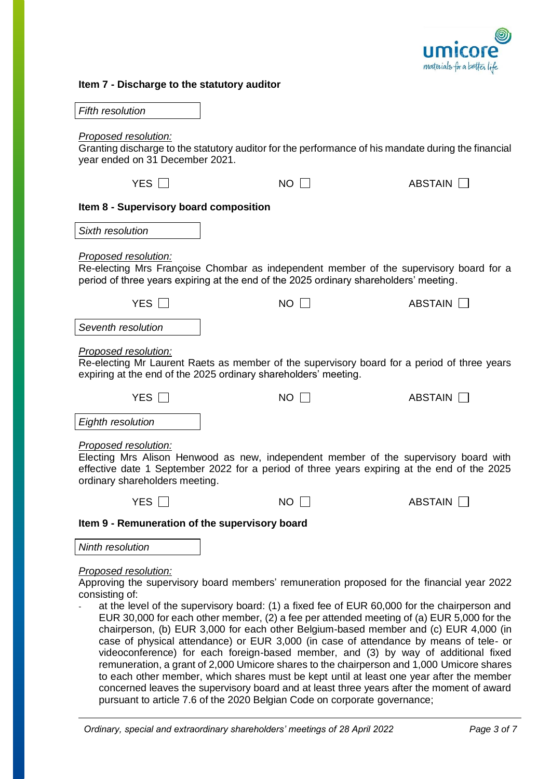

## **Item 7 - Discharge to the statutory auditor**

| <b>Fifth resolution</b>                                                                                                                                                                                                                       |                                                                                                                                                                                                                                                                                                                                                                                                                                                                                                                                                                                                                                                                                                                                                                                                                                                      |                |  |  |
|-----------------------------------------------------------------------------------------------------------------------------------------------------------------------------------------------------------------------------------------------|------------------------------------------------------------------------------------------------------------------------------------------------------------------------------------------------------------------------------------------------------------------------------------------------------------------------------------------------------------------------------------------------------------------------------------------------------------------------------------------------------------------------------------------------------------------------------------------------------------------------------------------------------------------------------------------------------------------------------------------------------------------------------------------------------------------------------------------------------|----------------|--|--|
| <b>Proposed resolution:</b><br>year ended on 31 December 2021.                                                                                                                                                                                | Granting discharge to the statutory auditor for the performance of his mandate during the financial                                                                                                                                                                                                                                                                                                                                                                                                                                                                                                                                                                                                                                                                                                                                                  |                |  |  |
| YES $\Box$                                                                                                                                                                                                                                    | $NO$ $\Box$                                                                                                                                                                                                                                                                                                                                                                                                                                                                                                                                                                                                                                                                                                                                                                                                                                          | ABSTAIN        |  |  |
| Item 8 - Supervisory board composition                                                                                                                                                                                                        |                                                                                                                                                                                                                                                                                                                                                                                                                                                                                                                                                                                                                                                                                                                                                                                                                                                      |                |  |  |
| Sixth resolution                                                                                                                                                                                                                              |                                                                                                                                                                                                                                                                                                                                                                                                                                                                                                                                                                                                                                                                                                                                                                                                                                                      |                |  |  |
| Proposed resolution:                                                                                                                                                                                                                          | Re-electing Mrs Françoise Chombar as independent member of the supervisory board for a<br>period of three years expiring at the end of the 2025 ordinary shareholders' meeting.                                                                                                                                                                                                                                                                                                                                                                                                                                                                                                                                                                                                                                                                      |                |  |  |
| YES $\Box$                                                                                                                                                                                                                                    | $NO$ $\Box$                                                                                                                                                                                                                                                                                                                                                                                                                                                                                                                                                                                                                                                                                                                                                                                                                                          | ABSTAIN        |  |  |
| Seventh resolution                                                                                                                                                                                                                            |                                                                                                                                                                                                                                                                                                                                                                                                                                                                                                                                                                                                                                                                                                                                                                                                                                                      |                |  |  |
| Proposed resolution:<br>Re-electing Mr Laurent Raets as member of the supervisory board for a period of three years<br>expiring at the end of the 2025 ordinary shareholders' meeting.                                                        |                                                                                                                                                                                                                                                                                                                                                                                                                                                                                                                                                                                                                                                                                                                                                                                                                                                      |                |  |  |
| YES $\Box$                                                                                                                                                                                                                                    | $NO$ $\Box$                                                                                                                                                                                                                                                                                                                                                                                                                                                                                                                                                                                                                                                                                                                                                                                                                                          | ABSTAIN        |  |  |
| Eighth resolution                                                                                                                                                                                                                             |                                                                                                                                                                                                                                                                                                                                                                                                                                                                                                                                                                                                                                                                                                                                                                                                                                                      |                |  |  |
| Proposed resolution:<br>Electing Mrs Alison Henwood as new, independent member of the supervisory board with<br>effective date 1 September 2022 for a period of three years expiring at the end of the 2025<br>ordinary shareholders meeting. |                                                                                                                                                                                                                                                                                                                                                                                                                                                                                                                                                                                                                                                                                                                                                                                                                                                      |                |  |  |
| YES.                                                                                                                                                                                                                                          | NO.                                                                                                                                                                                                                                                                                                                                                                                                                                                                                                                                                                                                                                                                                                                                                                                                                                                  | <b>ABSTAIN</b> |  |  |
| Item 9 - Remuneration of the supervisory board                                                                                                                                                                                                |                                                                                                                                                                                                                                                                                                                                                                                                                                                                                                                                                                                                                                                                                                                                                                                                                                                      |                |  |  |
| Ninth resolution                                                                                                                                                                                                                              |                                                                                                                                                                                                                                                                                                                                                                                                                                                                                                                                                                                                                                                                                                                                                                                                                                                      |                |  |  |
| Proposed resolution:<br>consisting of:                                                                                                                                                                                                        | Approving the supervisory board members' remuneration proposed for the financial year 2022<br>at the level of the supervisory board: (1) a fixed fee of EUR 60,000 for the chairperson and<br>EUR 30,000 for each other member, (2) a fee per attended meeting of (a) EUR 5,000 for the<br>chairperson, (b) EUR 3,000 for each other Belgium-based member and (c) EUR 4,000 (in<br>case of physical attendance) or EUR 3,000 (in case of attendance by means of tele- or<br>videoconference) for each foreign-based member, and (3) by way of additional fixed<br>remuneration, a grant of 2,000 Umicore shares to the chairperson and 1,000 Umicore shares<br>to each other member, which shares must be kept until at least one year after the member<br>concerned leaves the supervisory board and at least three years after the moment of award |                |  |  |

pursuant to article 7.6 of the 2020 Belgian Code on corporate governance;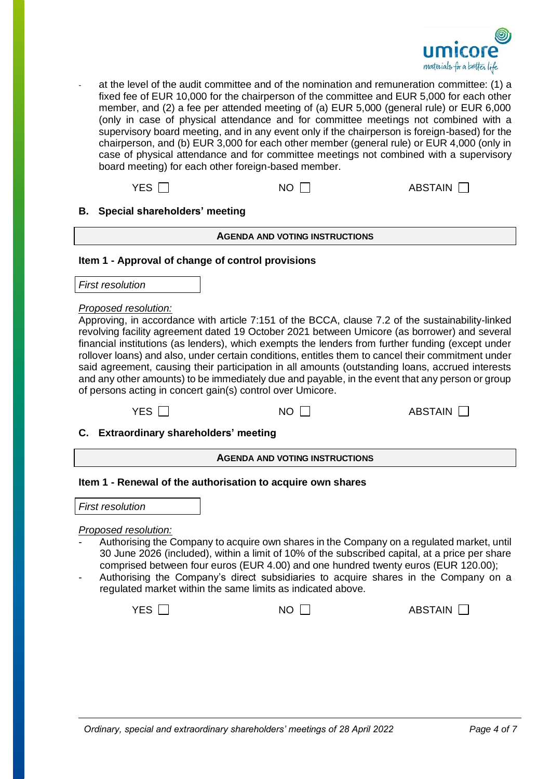

- at the level of the audit committee and of the nomination and remuneration committee: (1) a fixed fee of EUR 10,000 for the chairperson of the committee and EUR 5,000 for each other member, and (2) a fee per attended meeting of (a) EUR 5,000 (general rule) or EUR 6,000 (only in case of physical attendance and for committee meetings not combined with a supervisory board meeting, and in any event only if the chairperson is foreign-based) for the chairperson, and (b) EUR 3,000 for each other member (general rule) or EUR 4,000 (only in case of physical attendance and for committee meetings not combined with a supervisory board meeting) for each other foreign-based member.

 $YES \t{1}$  NO  $\t{1}$  ABSTAIN  $\t{1}$ 

**B. Special shareholders' meeting**

**AGENDA AND VOTING INSTRUCTIONS**

# **Item 1 - Approval of change of control provisions**

*First resolution*

### *Proposed resolution:*

Approving, in accordance with article 7:151 of the BCCA, clause 7.2 of the sustainability-linked revolving facility agreement dated 19 October 2021 between Umicore (as borrower) and several financial institutions (as lenders), which exempts the lenders from further funding (except under rollover loans) and also, under certain conditions, entitles them to cancel their commitment under said agreement, causing their participation in all amounts (outstanding loans, accrued interests and any other amounts) to be immediately due and payable, in the event that any person or group of persons acting in concert gain(s) control over Umicore.

| YES [ | <b>NO</b> | <b>ABSTAIN</b> |
|-------|-----------|----------------|
|-------|-----------|----------------|

**C. Extraordinary shareholders' meeting**

| <b>AGENDA AND VOTING INSTRUCTIONS</b> |  |  |
|---------------------------------------|--|--|
|                                       |  |  |

#### **Item 1 - Renewal of the authorisation to acquire own shares**

*First resolution*

#### *Proposed resolution:*

- Authorising the Company to acquire own shares in the Company on a regulated market, until 30 June 2026 (included), within a limit of 10% of the subscribed capital, at a price per share comprised between four euros (EUR 4.00) and one hundred twenty euros (EUR 120.00);
- Authorising the Company's direct subsidiaries to acquire shares in the Company on a regulated market within the same limits as indicated above.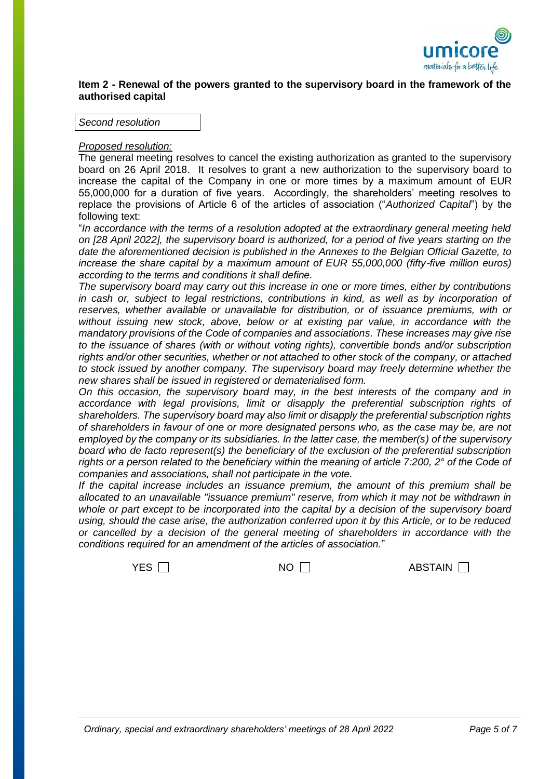

## **Item 2 - Renewal of the powers granted to the supervisory board in the framework of the authorised capital**

*Second resolution*

### *Proposed resolution:*

The general meeting resolves to cancel the existing authorization as granted to the supervisory board on 26 April 2018. It resolves to grant a new authorization to the supervisory board to increase the capital of the Company in one or more times by a maximum amount of EUR 55,000,000 for a duration of five years. Accordingly, the shareholders' meeting resolves to replace the provisions of Article 6 of the articles of association ("*Authorized Capital*") by the following text:

"*In accordance with the terms of a resolution adopted at the extraordinary general meeting held on [28 April 2022], the supervisory board is authorized, for a period of five years starting on the date the aforementioned decision is published in the Annexes to the Belgian Official Gazette, to increase the share capital by a maximum amount of EUR 55,000,000 (fifty-five million euros) according to the terms and conditions it shall define.*

*The supervisory board may carry out this increase in one or more times, either by contributions*  in cash or, subject to legal restrictions, contributions in kind, as well as by incorporation of *reserves, whether available or unavailable for distribution, or of issuance premiums, with or without issuing new stock, above, below or at existing par value, in accordance with the mandatory provisions of the Code of companies and associations. These increases may give rise to the issuance of shares (with or without voting rights), convertible bonds and/or subscription rights and/or other securities, whether or not attached to other stock of the company, or attached to stock issued by another company. The supervisory board may freely determine whether the new shares shall be issued in registered or dematerialised form.*

*On this occasion, the supervisory board may, in the best interests of the company and in accordance with legal provisions, limit or disapply the preferential subscription rights of shareholders. The supervisory board may also limit or disapply the preferential subscription rights of shareholders in favour of one or more designated persons who, as the case may be, are not employed by the company or its subsidiaries. In the latter case, the member(s) of the supervisory board who de facto represent(s) the beneficiary of the exclusion of the preferential subscription*  rights or a person related to the beneficiary within the meaning of article 7:200, 2° of the Code of *companies and associations, shall not participate in the vote.*

*If the capital increase includes an issuance premium, the amount of this premium shall be allocated to an unavailable "issuance premium" reserve, from which it may not be withdrawn in whole or part except to be incorporated into the capital by a decision of the supervisory board using, should the case arise, the authorization conferred upon it by this Article, or to be reduced or cancelled by a decision of the general meeting of shareholders in accordance with the conditions required for an amendment of the articles of association.*"

 $YES \t{1}$  NO  $1$  ABSTAIN  $\Box$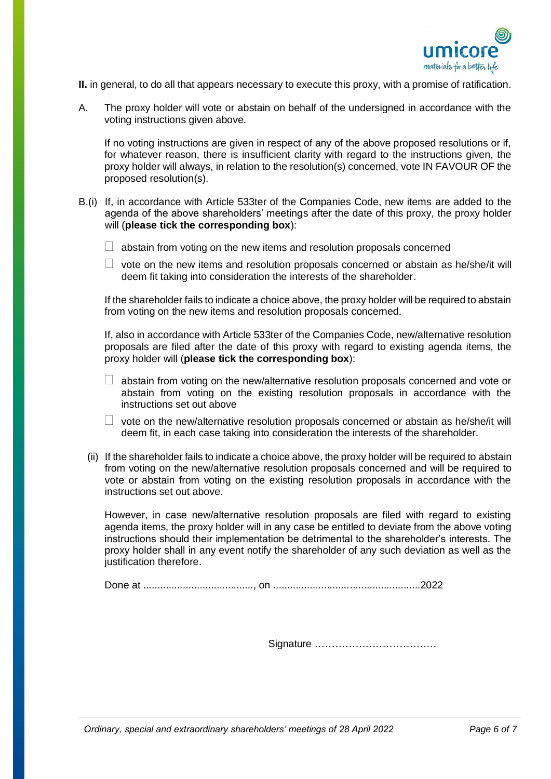

- **II.** in general, to do all that appears necessary to execute this proxy, with a promise of ratification.
- A. The proxy holder will vote or abstain on behalf of the undersigned in accordance with the voting instructions given above.

If no voting instructions are given in respect of any of the above proposed resolutions or if, for whatever reason, there is insufficient clarity with regard to the instructions given, the proxy holder will always, in relation to the resolution(s) concerned, vote IN FAVOUR OF the proposed resolution(s).

- B.(i) If, in accordance with Article 533ter of the Companies Code, new items are added to the agenda of the above shareholders' meetings after the date of this proxy, the proxy holder will (**please tick the corresponding box**):
	- $\Box$  abstain from voting on the new items and resolution proposals concerned
	- $\Box$  vote on the new items and resolution proposals concerned or abstain as he/she/it will deem fit taking into consideration the interests of the shareholder.

If the shareholder fails to indicate a choice above, the proxy holder will be required to abstain from voting on the new items and resolution proposals concerned.

If, also in accordance with Article 533ter of the Companies Code, new/alternative resolution proposals are filed after the date of this proxy with regard to existing agenda items, the proxy holder will (**please tick the corresponding box**):

- $\Box$  abstain from voting on the new/alternative resolution proposals concerned and vote or abstain from voting on the existing resolution proposals in accordance with the instructions set out above
- $\Box$  vote on the new/alternative resolution proposals concerned or abstain as he/she/it will deem fit, in each case taking into consideration the interests of the shareholder.
- (ii) If the shareholder fails to indicate a choice above, the proxy holder will be required to abstain from voting on the new/alternative resolution proposals concerned and will be required to vote or abstain from voting on the existing resolution proposals in accordance with the instructions set out above.

However, in case new/alternative resolution proposals are filed with regard to existing agenda items, the proxy holder will in any case be entitled to deviate from the above voting instructions should their implementation be detrimental to the shareholder's interests. The proxy holder shall in any event notify the shareholder of any such deviation as well as the justification therefore.

Done at ......................................., on ....................................................2022

Signature ………………………………